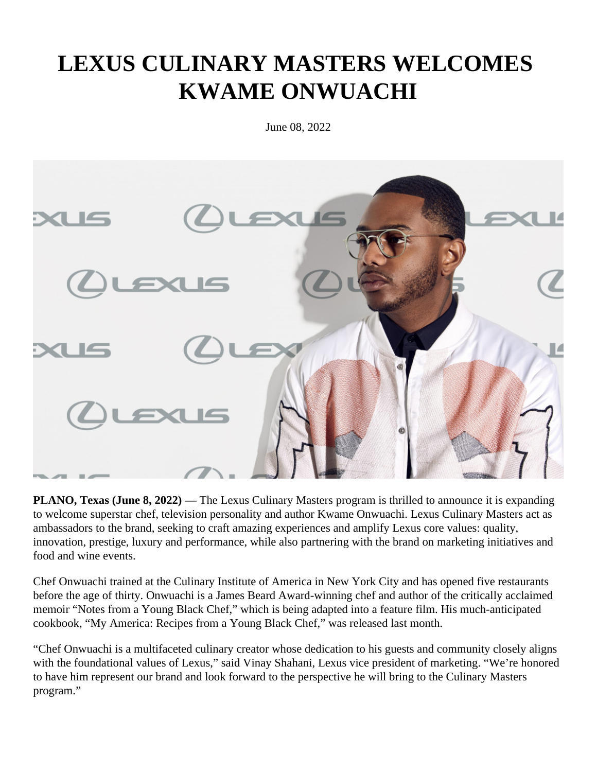## **LEXUS CULINARY MASTERS WELCOMES KWAME ONWUACHI**

June 08, 2022



**PLANO, Texas (June 8, 2022)** — The Lexus Culinary Masters program is thrilled to announce it is expanding to welcome superstar chef, television personality and author Kwame Onwuachi. Lexus Culinary Masters act as ambassadors to the brand, seeking to craft amazing experiences and amplify Lexus core values: quality, innovation, prestige, luxury and performance, while also partnering with the brand on marketing initiatives and food and wine events.

Chef Onwuachi trained at the Culinary Institute of America in New York City and has opened five restaurants before the age of thirty. Onwuachi is a James Beard Award-winning chef and author of the critically acclaimed memoir "Notes from a Young Black Chef," which is being adapted into a feature film. His much-anticipated cookbook, "My America: Recipes from a Young Black Chef," was released last month.

"Chef Onwuachi is a multifaceted culinary creator whose dedication to his guests and community closely aligns with the foundational values of Lexus," said Vinay Shahani, Lexus vice president of marketing. "We're honored to have him represent our brand and look forward to the perspective he will bring to the Culinary Masters program."